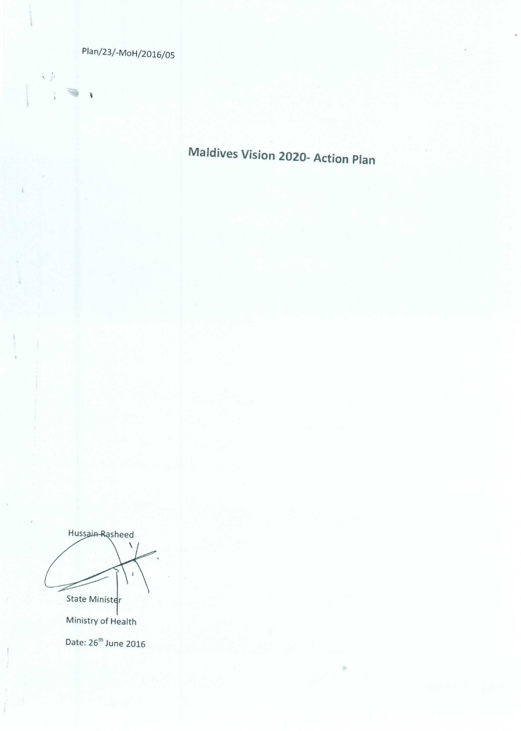Plan/23/-MoH/2016/05

一点

ï

W

 $\lambda$ 

Maldives Vision 2020- Action Plan

ŵ.

Hussain Rasheed  $\bar{4}$ State Minister

Ministry of Health Date: 26<sup>th</sup> June 2016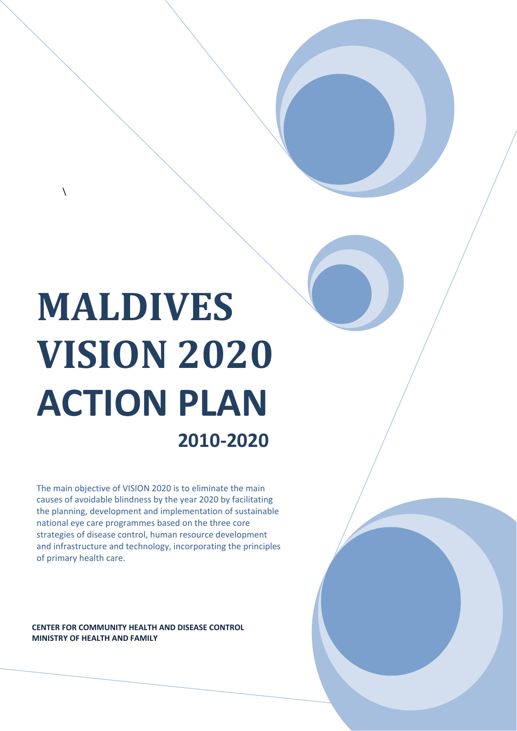# **MALDIVES VISION 2020 ACTION PLAN 2010‐2020**

 $\lambda$ 

The main objective of VISION 2020 is to eliminate the main causes of avoidable blindness by the year 2020 by facilitating the planning, development and implementation of sustainable national eye care programmes based on the three core strategies of disease control, human resource development and infrastructure and technology, incorporating the principles of primary health care.

#### **CENTER FOR COMMUNITY HEALTH AND DISEASE CONTROL MINISTRY OF HEALTH AND FAMILY**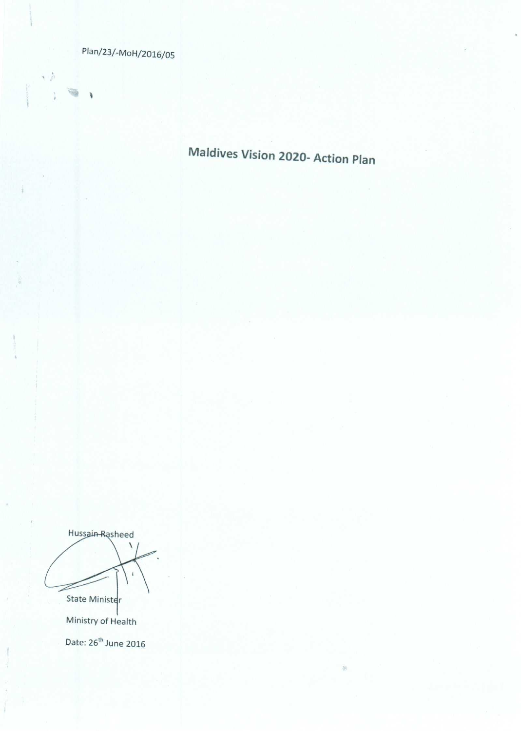Plan/23/-MoH/2016/05

一点

ï

W

 $\lambda$ 

Maldives Vision 2020- Action Plan

ŵ.

Hussain Rasheed  $\bar{4}$ State Minister

Ministry of Health Date: 26<sup>th</sup> June 2016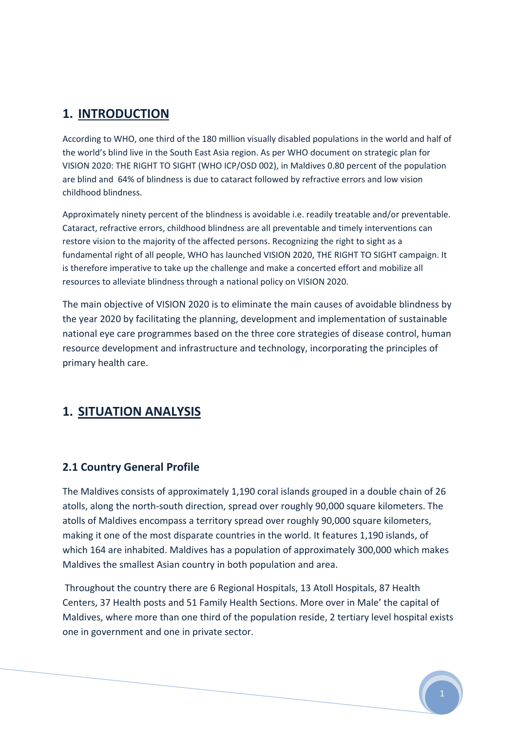## **1. INTRODUCTION**

According to WHO, one third of the 180 million visually disabled populations in the world and half of the world's blind live in the South East Asia region. As per WHO document on strategic plan for VISION 2020: THE RIGHT TO SIGHT (WHO ICP/OSD 002), in Maldives 0.80 percent of the population are blind and 64% of blindness is due to cataract followed by refractive errors and low vision childhood blindness.

Approximately ninety percent of the blindness is avoidable i.e. readily treatable and/or preventable. Cataract, refractive errors, childhood blindness are all preventable and timely interventions can restore vision to the majority of the affected persons. Recognizing the right to sight as a fundamental right of all people, WHO has launched VISION 2020, THE RIGHT TO SIGHT campaign. It is therefore imperative to take up the challenge and make a concerted effort and mobilize all resources to alleviate blindness through a national policy on VISION 2020.

The main objective of VISION 2020 is to eliminate the main causes of avoidable blindness by the year 2020 by facilitating the planning, development and implementation of sustainable national eye care programmes based on the three core strategies of disease control, human resource development and infrastructure and technology, incorporating the principles of primary health care.

## **1. SITUATION ANALYSIS**

## **2.1 Country General Profile**

The Maldives consists of approximately 1,190 coral islands grouped in a double chain of 26 atolls, along the north‐south direction, spread over roughly 90,000 square kilometers. The atolls of Maldives encompass a territory spread over roughly 90,000 square kilometers, making it one of the most disparate countries in the world. It features 1,190 islands, of which 164 are inhabited. Maldives has a population of approximately 300,000 which makes Maldives the smallest Asian country in both population and area.

Throughout the country there are 6 Regional Hospitals, 13 Atoll Hospitals, 87 Health Centers, 37 Health posts and 51 Family Health Sections. More over in Male' the capital of Maldives, where more than one third of the population reside, 2 tertiary level hospital exists one in government and one in private sector.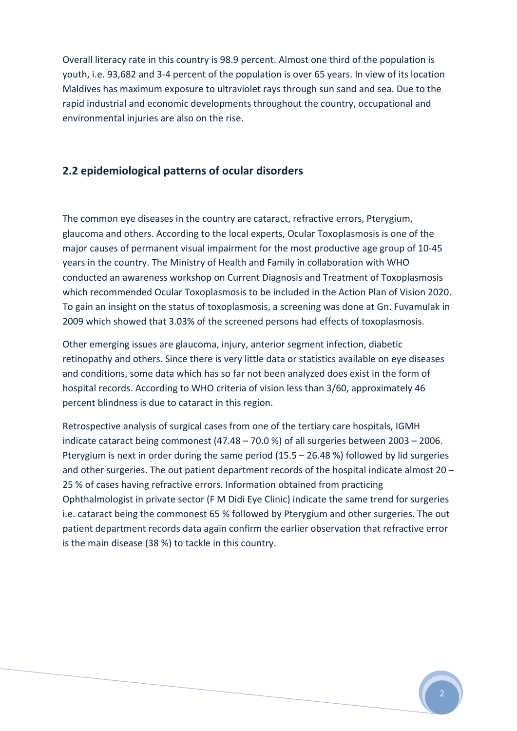Overall literacy rate in this country is 98.9 percent. Almost one third of the population is youth, i.e. 93,682 and 3‐4 percent of the population is over 65 years. In view of its location Maldives has maximum exposure to ultraviolet rays through sun sand and sea. Due to the rapid industrial and economic developments throughout the country, occupational and environmental injuries are also on the rise.

#### **2.2 epidemiological patterns of ocular disorders**

The common eye diseases in the country are cataract, refractive errors, Pterygium, glaucoma and others. According to the local experts, Ocular Toxoplasmosis is one of the major causes of permanent visual impairment for the most productive age group of 10‐45 years in the country. The Ministry of Health and Family in collaboration with WHO conducted an awareness workshop on Current Diagnosis and Treatment of Toxoplasmosis which recommended Ocular Toxoplasmosis to be included in the Action Plan of Vision 2020. To gain an insight on the status of toxoplasmosis, a screening was done at Gn. Fuvamulak in 2009 which showed that 3.03% of the screened persons had effects of toxoplasmosis.

Other emerging issues are glaucoma, injury, anterior segment infection, diabetic retinopathy and others. Since there is very little data or statistics available on eye diseases and conditions, some data which has so far not been analyzed does exist in the form of hospital records. According to WHO criteria of vision less than 3/60, approximately 46 percent blindness is due to cataract in this region.

Retrospective analysis of surgical cases from one of the tertiary care hospitals, IGMH indicate cataract being commonest (47.48 – 70.0 %) of all surgeries between 2003 – 2006. Pterygium is next in order during the same period (15.5 – 26.48 %) followed by lid surgeries and other surgeries. The out patient department records of the hospital indicate almost 20 – 25 % of cases having refractive errors. Information obtained from practicing Ophthalmologist in private sector (F M Didi Eye Clinic) indicate the same trend for surgeries i.e. cataract being the commonest 65 % followed by Pterygium and other surgeries. The out patient department records data again confirm the earlier observation that refractive error is the main disease (38 %) to tackle in this country.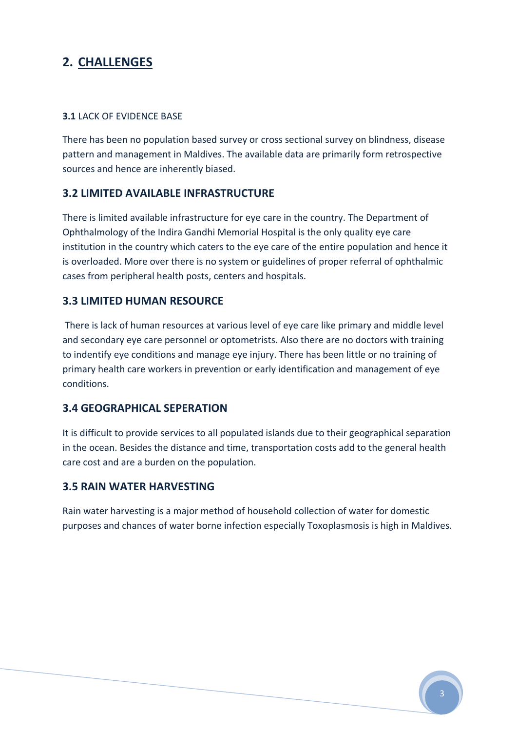# **2. CHALLENGES**

#### **3.1** LACK OF EVIDENCE BASE

There has been no population based survey or cross sectional survey on blindness, disease pattern and management in Maldives. The available data are primarily form retrospective sources and hence are inherently biased.

#### **3.2 LIMITED AVAILABLE INFRASTRUCTURE**

There is limited available infrastructure for eye care in the country. The Department of Ophthalmology of the Indira Gandhi Memorial Hospital is the only quality eye care institution in the country which caters to the eye care of the entire population and hence it is overloaded. More over there is no system or guidelines of proper referral of ophthalmic cases from peripheral health posts, centers and hospitals.

#### **3.3 LIMITED HUMAN RESOURCE**

There is lack of human resources at various level of eye care like primary and middle level and secondary eye care personnel or optometrists. Also there are no doctors with training to indentify eye conditions and manage eye injury. There has been little or no training of primary health care workers in prevention or early identification and management of eye conditions.

#### **3.4 GEOGRAPHICAL SEPERATION**

It is difficult to provide services to all populated islands due to their geographical separation in the ocean. Besides the distance and time, transportation costs add to the general health care cost and are a burden on the population.

#### **3.5 RAIN WATER HARVESTING**

Rain water harvesting is a major method of household collection of water for domestic purposes and chances of water borne infection especially Toxoplasmosis is high in Maldives.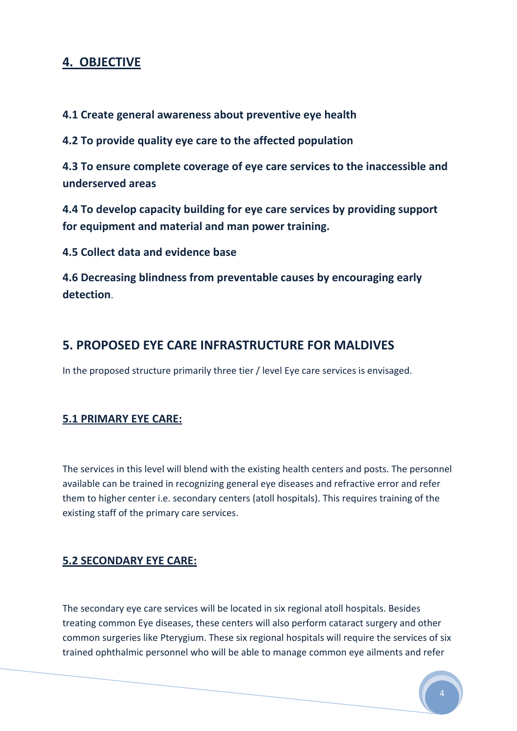# **4. OBJECTIVE**

#### **4.1 Create general awareness about preventive eye health**

**4.2 To provide quality eye care to the affected population**

**4.3 To ensure complete coverage of eye care services to the inaccessible and underserved areas**

**4.4 To develop capacity building for eye care services by providing support for equipment and material and man power training.**

**4.5 Collect data and evidence base**

**4.6 Decreasing blindness from preventable causes by encouraging early detection**.

## **5. PROPOSED EYE CARE INFRASTRUCTURE FOR MALDIVES**

In the proposed structure primarily three tier / level Eye care services is envisaged.

## **5.1 PRIMARY EYE CARE:**

The services in this level will blend with the existing health centers and posts. The personnel available can be trained in recognizing general eye diseases and refractive error and refer them to higher center i.e. secondary centers (atoll hospitals). This requires training of the existing staff of the primary care services.

## **5.2 SECONDARY EYE CARE:**

The secondary eye care services will be located in six regional atoll hospitals. Besides treating common Eye diseases, these centers will also perform cataract surgery and other common surgeries like Pterygium. These six regional hospitals will require the services of six trained ophthalmic personnel who will be able to manage common eye ailments and refer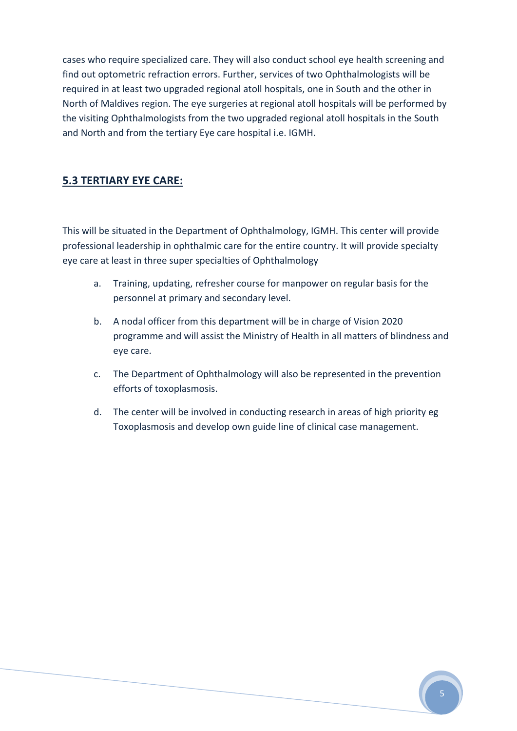cases who require specialized care. They will also conduct school eye health screening and find out optometric refraction errors. Further, services of two Ophthalmologists will be required in at least two upgraded regional atoll hospitals, one in South and the other in North of Maldives region. The eye surgeries at regional atoll hospitals will be performed by the visiting Ophthalmologists from the two upgraded regional atoll hospitals in the South and North and from the tertiary Eye care hospital i.e. IGMH.

#### **5.3 TERTIARY EYE CARE:**

This will be situated in the Department of Ophthalmology, IGMH. This center will provide professional leadership in ophthalmic care for the entire country. It will provide specialty eye care at least in three super specialties of Ophthalmology

- a. Training, updating, refresher course for manpower on regular basis for the personnel at primary and secondary level.
- b. A nodal officer from this department will be in charge of Vision 2020 programme and will assist the Ministry of Health in all matters of blindness and eye care.
- c. The Department of Ophthalmology will also be represented in the prevention efforts of toxoplasmosis.
- d. The center will be involved in conducting research in areas of high priority eg Toxoplasmosis and develop own guide line of clinical case management.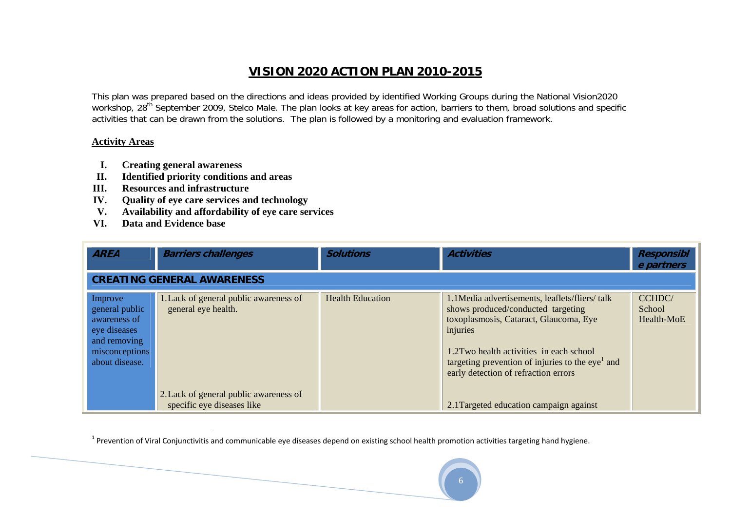## **VISION 2020 ACTION PLAN 2010-2015**

This plan was prepared based on the directions and ideas provided by identified Working Groups during the National Vision2020 workshop, 28<sup>th</sup> September 2009, Stelco Male. The plan looks at key areas for action, barriers to them, broad solutions and specific activities that can be drawn from the solutions. The plan is followed by a monitoring and evaluation framework.

#### **Activity Areas**

- **I.Creating general awareness**
- **II.Identified priority conditions and areas**
- **III.Resources and infrastructure**
- **IV.Quality of eye care services and technology**
- **V. Availability and affordability of eye care services**
- **VI. Data and Evidence base**

| <b>AREA</b>                                                                                                   | <b>Barriers challenges</b>                                                                                                            | <b>Solutions</b>        | <b>Activities</b>                                                                                                                                                                                                                                                                                                                         | <b>Responsibl</b><br>e partners      |
|---------------------------------------------------------------------------------------------------------------|---------------------------------------------------------------------------------------------------------------------------------------|-------------------------|-------------------------------------------------------------------------------------------------------------------------------------------------------------------------------------------------------------------------------------------------------------------------------------------------------------------------------------------|--------------------------------------|
|                                                                                                               | <b>CREATING GENERAL AWARENESS</b>                                                                                                     |                         |                                                                                                                                                                                                                                                                                                                                           |                                      |
| Improve<br>general public<br>awareness of<br>eye diseases<br>and removing<br>misconceptions<br>about disease. | 1. Lack of general public awareness of<br>general eye health.<br>2. Lack of general public awareness of<br>specific eye diseases like | <b>Health Education</b> | 1.1 Media advertisements, leaflets/fliers/talk<br>shows produced/conducted targeting<br>toxoplasmosis, Cataract, Glaucoma, Eye<br>injuries<br>1.2 Two health activities in each school<br>targeting prevention of injuries to the eye <sup>1</sup> and<br>early detection of refraction errors<br>2.1 Targeted education campaign against | <b>CCHDC</b><br>School<br>Health-MoE |

 $1$  Prevention of Viral Conjunctivitis and communicable eye diseases depend on existing school health promotion activities targeting hand hygiene.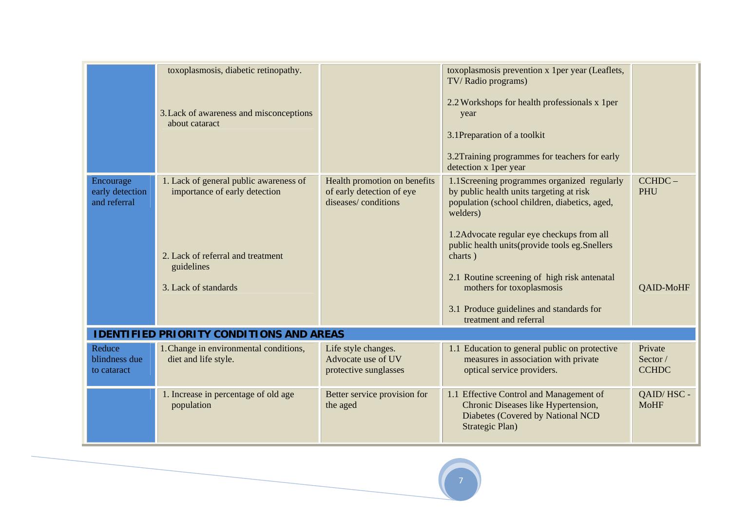|                                              | toxoplasmosis, diabetic retinopathy.<br>3. Lack of awareness and misconceptions<br>about cataract                                                  |                                                                                  | toxoplasmosis prevention x 1 per year (Leaflets,<br>TV/Radio programs)<br>2.2 Workshops for health professionals x 1 per<br>year<br>3.1Preparation of a toolkit<br>3.2Training programmes for teachers for early<br>detection x 1 per year                                                                                                                                                                          |                                     |
|----------------------------------------------|----------------------------------------------------------------------------------------------------------------------------------------------------|----------------------------------------------------------------------------------|---------------------------------------------------------------------------------------------------------------------------------------------------------------------------------------------------------------------------------------------------------------------------------------------------------------------------------------------------------------------------------------------------------------------|-------------------------------------|
| Encourage<br>early detection<br>and referral | 1. Lack of general public awareness of<br>importance of early detection<br>2. Lack of referral and treatment<br>guidelines<br>3. Lack of standards | Health promotion on benefits<br>of early detection of eye<br>diseases/conditions | 1.1Screening programmes organized regularly<br>by public health units targeting at risk<br>population (school children, diabetics, aged,<br>welders)<br>1.2 Advocate regular eye checkups from all<br>public health units (provide tools eg. Snellers<br>charts)<br>2.1 Routine screening of high risk antenatal<br>mothers for toxoplasmosis<br>3.1 Produce guidelines and standards for<br>treatment and referral | CCHDC-<br><b>PHU</b><br>QAID-MoHF   |
|                                              | <b>IDENTIFIED PRIORITY CONDITIONS AND AREAS</b>                                                                                                    |                                                                                  |                                                                                                                                                                                                                                                                                                                                                                                                                     |                                     |
| Reduce<br>blindness due<br>to cataract       | 1. Change in environmental conditions,<br>diet and life style.                                                                                     | Life style changes.<br>Advocate use of UV<br>protective sunglasses               | 1.1 Education to general public on protective<br>measures in association with private<br>optical service providers.                                                                                                                                                                                                                                                                                                 | Private<br>Sector /<br><b>CCHDC</b> |
|                                              | 1. Increase in percentage of old age<br>population                                                                                                 | Better service provision for<br>the aged                                         | 1.1 Effective Control and Management of<br>Chronic Diseases like Hypertension,<br>Diabetes (Covered by National NCD<br>Strategic Plan)                                                                                                                                                                                                                                                                              | QAID/HSC -<br><b>MoHF</b>           |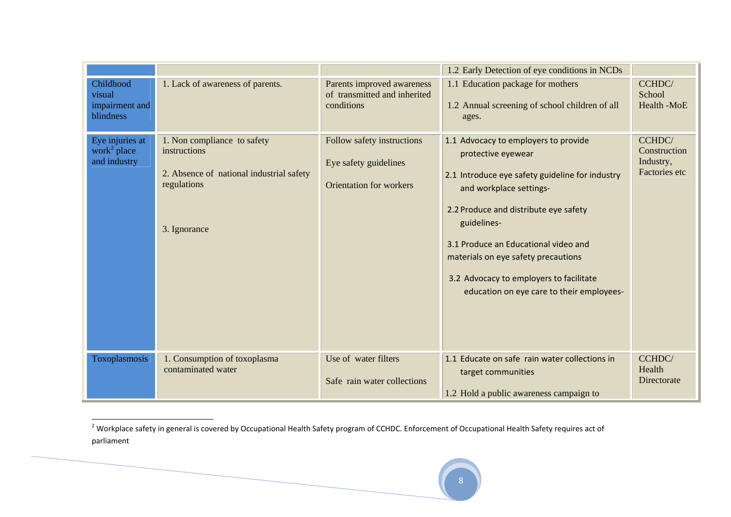| Childhood<br>visual<br>impairment and<br>blindness         | 1. Lack of awareness of parents.                                                                                       | Parents improved awareness<br>of transmitted and inherited<br>conditions              | 1.2 Early Detection of eye conditions in NCDs<br>1.1 Education package for mothers<br>1.2 Annual screening of school children of all<br>ages.                                                                                                                                                                                                                           | CCHDC/<br>School<br>Health -MoE                      |
|------------------------------------------------------------|------------------------------------------------------------------------------------------------------------------------|---------------------------------------------------------------------------------------|-------------------------------------------------------------------------------------------------------------------------------------------------------------------------------------------------------------------------------------------------------------------------------------------------------------------------------------------------------------------------|------------------------------------------------------|
| Eye injuries at<br>work <sup>2</sup> place<br>and industry | 1. Non compliance to safety<br>instructions<br>2. Absence of national industrial safety<br>regulations<br>3. Ignorance | Follow safety instructions<br>Eye safety guidelines<br><b>Orientation for workers</b> | 1.1 Advocacy to employers to provide<br>protective eyewear<br>2.1 Introduce eye safety guideline for industry<br>and workplace settings-<br>2.2 Produce and distribute eye safety<br>guidelines-<br>3.1 Produce an Educational video and<br>materials on eye safety precautions<br>3.2 Advocacy to employers to facilitate<br>education on eye care to their employees- | CCHDC/<br>Construction<br>Industry,<br>Factories etc |
| Toxoplasmosis                                              | 1. Consumption of toxoplasma<br>contaminated water                                                                     | Use of water filters<br>Safe rain water collections                                   | 1.1 Educate on safe rain water collections in<br>target communities<br>1.2 Hold a public awareness campaign to                                                                                                                                                                                                                                                          | CCHDC/<br>Health<br>Directorate                      |

<sup>&</sup>lt;sup>2</sup> Workplace safety in general is covered by Occupational Health Safety program of CCHDC. Enforcement of Occupational Health Safety requires act of parliament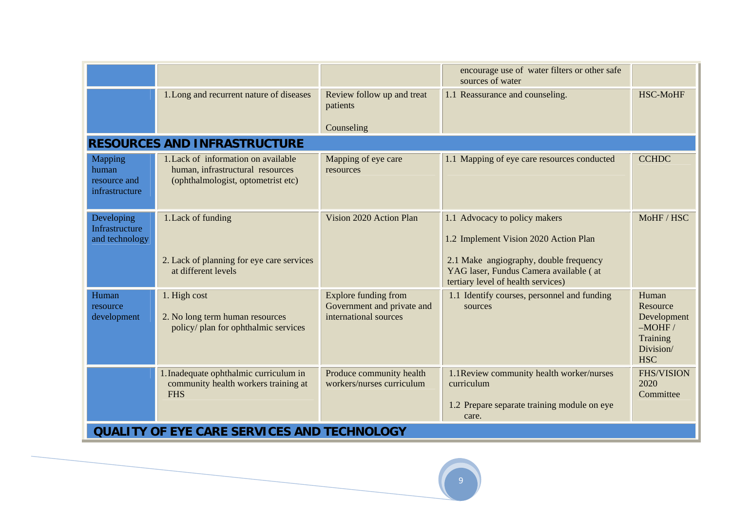|                                                           |                                                                                                               |                                                                                    | encourage use of water filters or other safe<br>sources of water                                                                                                                                 |                                                                                     |
|-----------------------------------------------------------|---------------------------------------------------------------------------------------------------------------|------------------------------------------------------------------------------------|--------------------------------------------------------------------------------------------------------------------------------------------------------------------------------------------------|-------------------------------------------------------------------------------------|
|                                                           | 1. Long and recurrent nature of diseases                                                                      | Review follow up and treat<br>patients<br>Counseling                               | 1.1 Reassurance and counseling.                                                                                                                                                                  | <b>HSC-MoHF</b>                                                                     |
|                                                           | <b>RESOURCES AND INFRASTRUCTURE</b>                                                                           |                                                                                    |                                                                                                                                                                                                  |                                                                                     |
| <b>Mapping</b><br>human<br>resource and<br>infrastructure | 1. Lack of information on available<br>human, infrastructural resources<br>(ophthalmologist, optometrist etc) | Mapping of eye care<br>resources                                                   | 1.1 Mapping of eye care resources conducted                                                                                                                                                      | <b>CCHDC</b>                                                                        |
| Developing<br>Infrastructure<br>and technology            | 1. Lack of funding<br>2. Lack of planning for eye care services<br>at different levels                        | Vision 2020 Action Plan                                                            | 1.1 Advocacy to policy makers<br>1.2 Implement Vision 2020 Action Plan<br>2.1 Make angiography, double frequency<br>YAG laser, Fundus Camera available (at<br>tertiary level of health services) | MoHF / HSC                                                                          |
| Human<br>resource<br>development                          | 1. High cost<br>2. No long term human resources<br>policy/ plan for ophthalmic services                       | <b>Explore funding from</b><br>Government and private and<br>international sources | 1.1 Identify courses, personnel and funding<br>sources                                                                                                                                           | Human<br>Resource<br>Development<br>$-MOHF/$<br>Training<br>Division/<br><b>HSC</b> |
|                                                           | 1. Inadequate ophthalmic curriculum in<br>community health workers training at<br><b>FHS</b>                  | Produce community health<br>workers/nurses curriculum                              | 1.1 Review community health worker/nurses<br>curriculum<br>1.2 Prepare separate training module on eye<br>care.                                                                                  | <b>FHS/VISION</b><br>2020<br>Committee                                              |
|                                                           | <b>QUALITY OF EYE CARE SERVICES AND TECHNOLOGY</b>                                                            |                                                                                    |                                                                                                                                                                                                  |                                                                                     |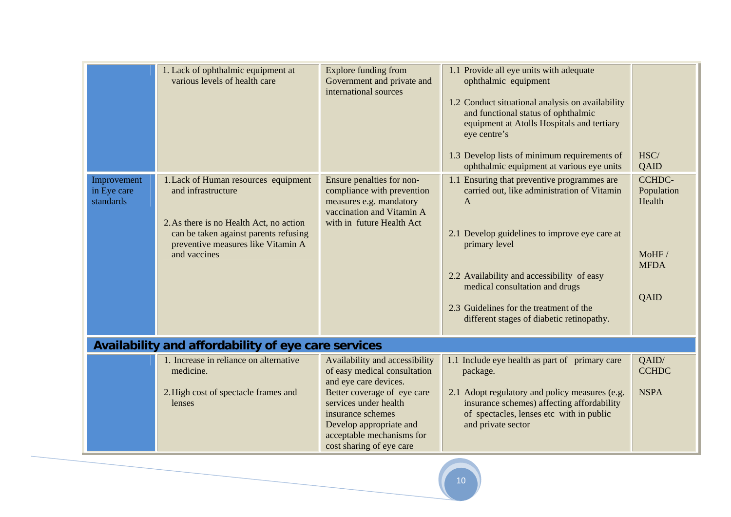|                                         | 1. Lack of ophthalmic equipment at<br>various levels of health care                                                                                                                                  | <b>Explore funding from</b><br>Government and private and<br>international sources                                                                                                                                                                       | 1.1 Provide all eye units with adequate<br>ophthalmic equipment<br>1.2 Conduct situational analysis on availability<br>and functional status of ophthalmic<br>equipment at Atolls Hospitals and tertiary<br>eye centre's<br>1.3 Develop lists of minimum requirements of<br>ophthalmic equipment at various eye units                                | HSC/<br>QAID                                                          |
|-----------------------------------------|------------------------------------------------------------------------------------------------------------------------------------------------------------------------------------------------------|----------------------------------------------------------------------------------------------------------------------------------------------------------------------------------------------------------------------------------------------------------|------------------------------------------------------------------------------------------------------------------------------------------------------------------------------------------------------------------------------------------------------------------------------------------------------------------------------------------------------|-----------------------------------------------------------------------|
| Improvement<br>in Eye care<br>standards | 1. Lack of Human resources equipment<br>and infrastructure<br>2. As there is no Health Act, no action<br>can be taken against parents refusing<br>preventive measures like Vitamin A<br>and vaccines | Ensure penalties for non-<br>compliance with prevention<br>measures e.g. mandatory<br>vaccination and Vitamin A<br>with in future Health Act                                                                                                             | 1.1 Ensuring that preventive programmes are<br>carried out, like administration of Vitamin<br>$\mathsf{A}$<br>2.1 Develop guidelines to improve eye care at<br>primary level<br>2.2 Availability and accessibility of easy<br>medical consultation and drugs<br>2.3 Guidelines for the treatment of the<br>different stages of diabetic retinopathy. | <b>CCHDC-</b><br>Population<br>Health<br>MoHF/<br><b>MFDA</b><br>QAID |
|                                         | Availability and affordability of eye care services                                                                                                                                                  |                                                                                                                                                                                                                                                          |                                                                                                                                                                                                                                                                                                                                                      |                                                                       |
|                                         | 1. Increase in reliance on alternative<br>medicine.<br>2. High cost of spectacle frames and<br>lenses                                                                                                | Availability and accessibility<br>of easy medical consultation<br>and eye care devices.<br>Better coverage of eye care<br>services under health<br>insurance schemes<br>Develop appropriate and<br>acceptable mechanisms for<br>cost sharing of eye care | 1.1 Include eye health as part of primary care<br>package.<br>2.1 Adopt regulatory and policy measures (e.g.<br>insurance schemes) affecting affordability<br>of spectacles, lenses etc with in public<br>and private sector                                                                                                                         | OAID/<br><b>CCHDC</b><br><b>NSPA</b>                                  |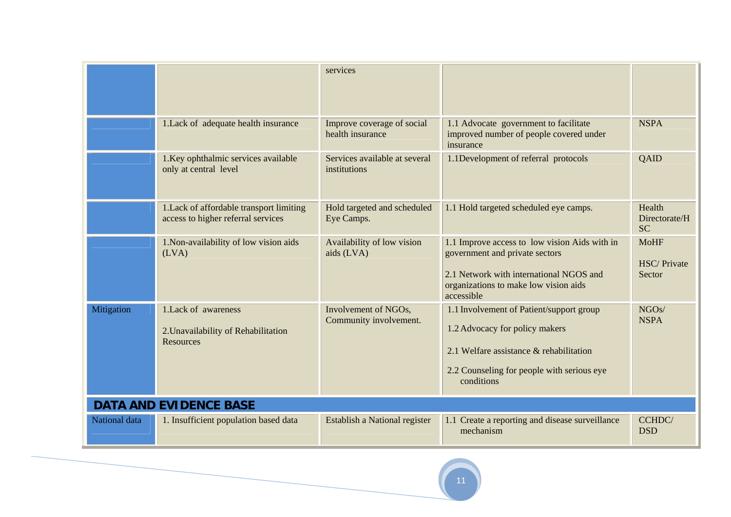|               |                                                                                 | services                                       |                                                                                                                                                                                   |                                             |
|---------------|---------------------------------------------------------------------------------|------------------------------------------------|-----------------------------------------------------------------------------------------------------------------------------------------------------------------------------------|---------------------------------------------|
|               | 1. Lack of adequate health insurance                                            | Improve coverage of social<br>health insurance | 1.1 Advocate government to facilitate<br>improved number of people covered under<br>insurance                                                                                     | <b>NSPA</b>                                 |
|               | 1. Key ophthalmic services available<br>only at central level                   | Services available at several<br>institutions  | 1.1Development of referral protocols                                                                                                                                              | QAID                                        |
|               | 1. Lack of affordable transport limiting<br>access to higher referral services  | Hold targeted and scheduled<br>Eye Camps.      | 1.1 Hold targeted scheduled eye camps.                                                                                                                                            | Health<br>Directorate/H<br><b>SC</b>        |
|               | 1. Non-availability of low vision aids<br>(LVA)                                 | Availability of low vision<br>aids (LVA)       | 1.1 Improve access to low vision Aids with in<br>government and private sectors<br>2.1 Network with international NGOS and<br>organizations to make low vision aids<br>accessible | <b>MoHF</b><br><b>HSC/Private</b><br>Sector |
| Mitigation    | 1. Lack of awareness<br>2. Unavailability of Rehabilitation<br><b>Resources</b> | Involvement of NGOs,<br>Community involvement. | 1.1 Involvement of Patient/support group<br>1.2 Advocacy for policy makers<br>2.1 Welfare assistance & rehabilitation<br>2.2 Counseling for people with serious eye<br>conditions | NGOs/<br><b>NSPA</b>                        |
|               | <b>DATA AND EVIDENCE BASE</b>                                                   |                                                |                                                                                                                                                                                   |                                             |
| National data | 1. Insufficient population based data                                           | Establish a National register                  | 1.1 Create a reporting and disease surveillance<br>mechanism                                                                                                                      | CCHDC/<br><b>DSD</b>                        |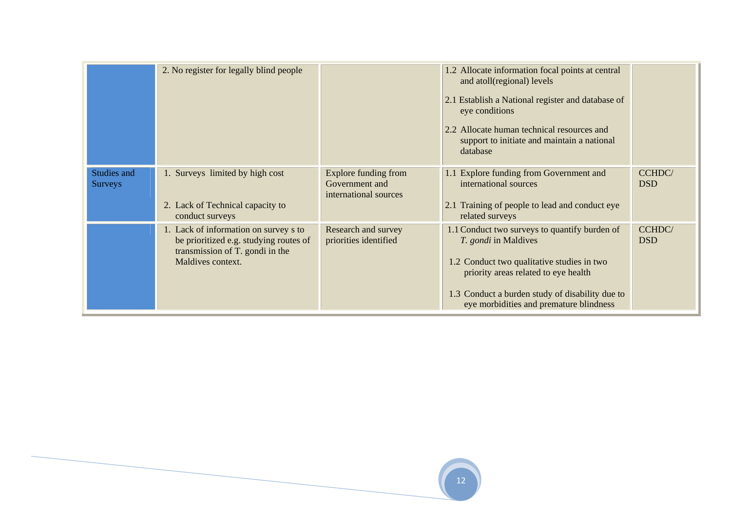|                               | 2. No register for legally blind people                                                                                                 |                                                                 | 1.2 Allocate information focal points at central<br>and atoll(regional) levels<br>2.1 Establish a National register and database of<br>eye conditions<br>2.2 Allocate human technical resources and<br>support to initiate and maintain a national<br>database   |                            |
|-------------------------------|-----------------------------------------------------------------------------------------------------------------------------------------|-----------------------------------------------------------------|------------------------------------------------------------------------------------------------------------------------------------------------------------------------------------------------------------------------------------------------------------------|----------------------------|
| Studies and<br><b>Surveys</b> | 1. Surveys limited by high cost<br>2. Lack of Technical capacity to<br>conduct surveys                                                  | Explore funding from<br>Government and<br>international sources | 1.1 Explore funding from Government and<br>international sources<br>2.1 Training of people to lead and conduct eye<br>related surveys                                                                                                                            | <b>CCHDC</b><br><b>DSD</b> |
|                               | 1. Lack of information on survey s to<br>be prioritized e.g. studying routes of<br>transmission of T. gondi in the<br>Maldives context. | Research and survey<br>priorities identified                    | 1.1 Conduct two surveys to quantify burden of<br><i>T. gondi</i> in Maldives<br>1.2 Conduct two qualitative studies in two<br>priority areas related to eye health<br>1.3 Conduct a burden study of disability due to<br>eye morbidities and premature blindness | <b>CCHDC</b><br><b>DSD</b> |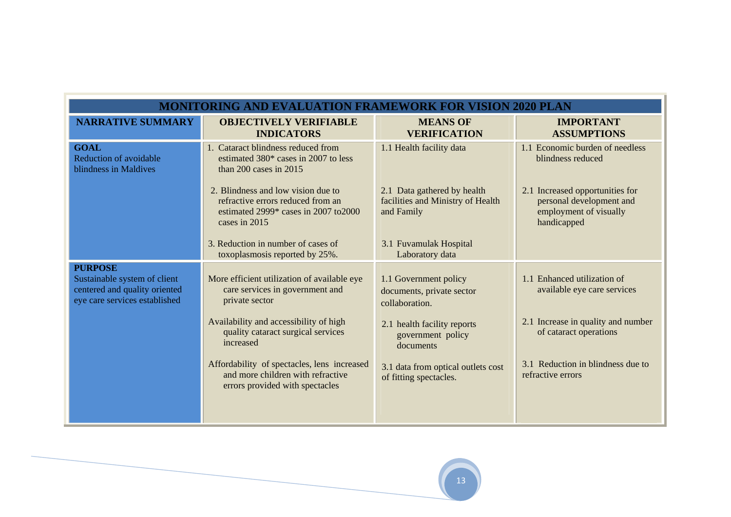|                                                                                                                  | MONITORING AND EVALUATION FRAME!                                                                                                    |                                                                                |                                                                                                      |
|------------------------------------------------------------------------------------------------------------------|-------------------------------------------------------------------------------------------------------------------------------------|--------------------------------------------------------------------------------|------------------------------------------------------------------------------------------------------|
| <b>NARRATIVE SUMMARY</b>                                                                                         | <b>OBJECTIVELY VERIFIABLE</b><br><b>INDICATORS</b>                                                                                  | <b>MEANS OF</b><br><b>VERIFICATION</b>                                         | <b>IMPORTANT</b><br><b>ASSUMPTIONS</b>                                                               |
| <b>GOAL</b><br>Reduction of avoidable<br>blindness in Maldives                                                   | 1. Cataract blindness reduced from<br>estimated 380* cases in 2007 to less<br>than $200$ cases in $2015$                            | 1.1 Health facility data                                                       | 1.1 Economic burden of needless<br>blindness reduced                                                 |
|                                                                                                                  | 2. Blindness and low vision due to<br>refractive errors reduced from an<br>estimated $2999*$ cases in 2007 to 2000<br>cases in 2015 | 2.1 Data gathered by health<br>facilities and Ministry of Health<br>and Family | 2.1 Increased opportunities for<br>personal development and<br>employment of visually<br>handicapped |
|                                                                                                                  | 3. Reduction in number of cases of<br>toxoplasmosis reported by 25%.                                                                | 3.1 Fuvamulak Hospital<br>Laboratory data                                      |                                                                                                      |
| <b>PURPOSE</b><br>Sustainable system of client<br>centered and quality oriented<br>eye care services established | More efficient utilization of available eye<br>care services in government and<br>private sector                                    | 1.1 Government policy<br>documents, private sector<br>collaboration.           | 1.1 Enhanced utilization of<br>available eye care services                                           |
|                                                                                                                  | Availability and accessibility of high<br>quality cataract surgical services<br>increased                                           | 2.1 health facility reports<br>government policy<br>documents                  | 2.1 Increase in quality and number<br>of cataract operations                                         |
|                                                                                                                  | Affordability of spectacles, lens increased<br>and more children with refractive<br>errors provided with spectacles                 | 3.1 data from optical outlets cost<br>of fitting spectacles.                   | 3.1 Reduction in blindness due to<br>refractive errors                                               |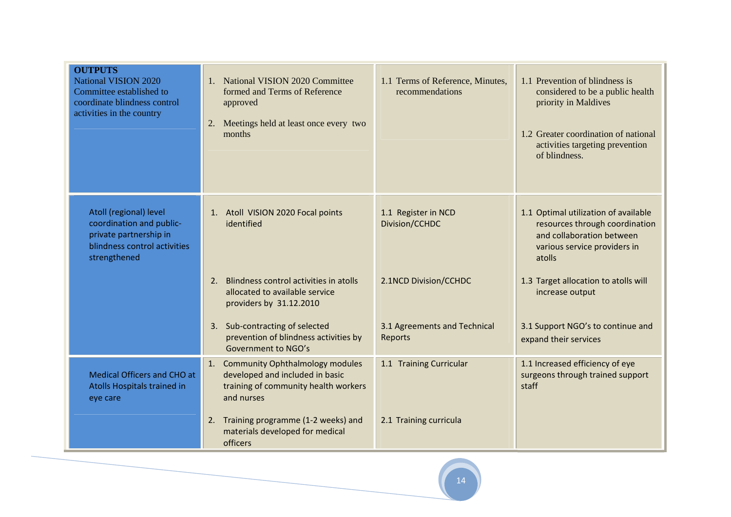| <b>OUTPUTS</b><br><b>National VISION 2020</b><br>Committee established to<br>coordinate blindness control<br>activities in the country | 1. National VISION 2020 Committee<br>formed and Terms of Reference<br>approved<br>2. Meetings held at least once every two<br>months | 1.1 Terms of Reference, Minutes,<br>recommendations | 1.1 Prevention of blindness is<br>considered to be a public health<br>priority in Maldives<br>1.2 Greater coordination of national<br>activities targeting prevention<br>of blindness. |
|----------------------------------------------------------------------------------------------------------------------------------------|--------------------------------------------------------------------------------------------------------------------------------------|-----------------------------------------------------|----------------------------------------------------------------------------------------------------------------------------------------------------------------------------------------|
| Atoll (regional) level<br>coordination and public-<br>private partnership in<br>blindness control activities<br>strengthened           | 1. Atoll VISION 2020 Focal points<br>identified                                                                                      | 1.1 Register in NCD<br>Division/CCHDC               | 1.1 Optimal utilization of available<br>resources through coordination<br>and collaboration between<br>various service providers in<br>atolls                                          |
|                                                                                                                                        | Blindness control activities in atolls<br>2.<br>allocated to available service<br>providers by 31.12.2010                            | 2.1NCD Division/CCHDC                               | 1.3 Target allocation to atolls will<br>increase output                                                                                                                                |
|                                                                                                                                        | 3. Sub-contracting of selected<br>prevention of blindness activities by<br>Government to NGO's                                       | 3.1 Agreements and Technical<br>Reports             | 3.1 Support NGO's to continue and<br>expand their services                                                                                                                             |
| Medical Officers and CHO at<br>Atolls Hospitals trained in<br>eye care                                                                 | 1. Community Ophthalmology modules<br>developed and included in basic<br>training of community health workers<br>and nurses          | 1.1 Training Curricular                             | 1.1 Increased efficiency of eye<br>surgeons through trained support<br>staff                                                                                                           |
|                                                                                                                                        | Training programme (1-2 weeks) and<br>2.<br>materials developed for medical<br>officers                                              | 2.1 Training curricula                              |                                                                                                                                                                                        |